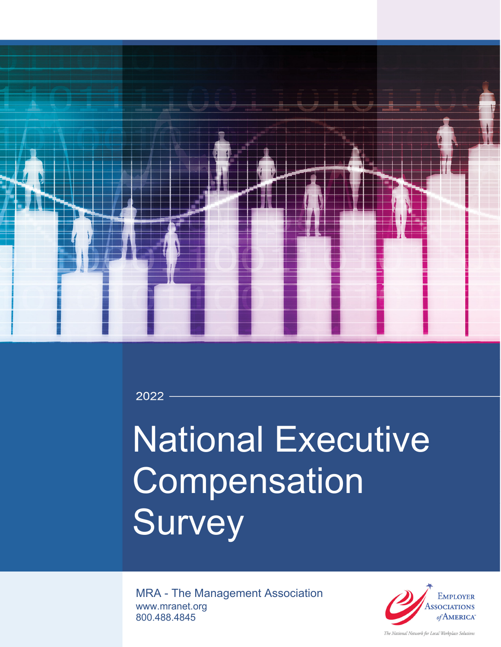

2022

# National Executive **Compensation Survey**

MRA - The Management Association www.mranet.org 800.488.4845



The National Network for Local Workplace Solutions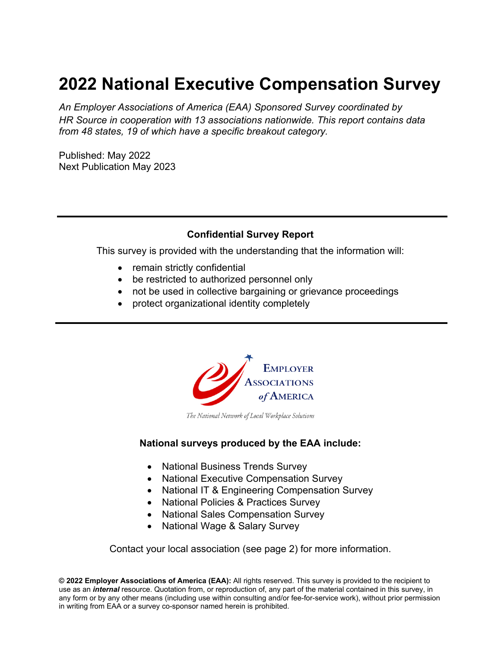## **2022 National Executive Compensation Survey**

*An Employer Associations of America (EAA) Sponsored Survey coordinated by HR Source in cooperation with 13 associations nationwide. This report contains data from 48 states, 19 of which have a specific breakout category.* 

Published: May 2022 Next Publication May 2023

#### **Confidential Survey Report**

This survey is provided with the understanding that the information will:

- remain strictly confidential
- be restricted to authorized personnel only
- not be used in collective bargaining or grievance proceedings
- protect organizational identity completely



The National Network of Local Workplace Solutions

#### **National surveys produced by the EAA include:**

- National Business Trends Survey
- National Executive Compensation Survey
- National IT & Engineering Compensation Survey
- National Policies & Practices Survey
- National Sales Compensation Survey
- National Wage & Salary Survey

Contact your local association (see page 2) for more information.

**© 2022 Employer Associations of America (EAA):** All rights reserved. This survey is provided to the recipient to use as an *internal* resource. Quotation from, or reproduction of, any part of the material contained in this survey, in any form or by any other means (including use within consulting and/or fee-for-service work), without prior permission in writing from EAA or a survey co-sponsor named herein is prohibited.